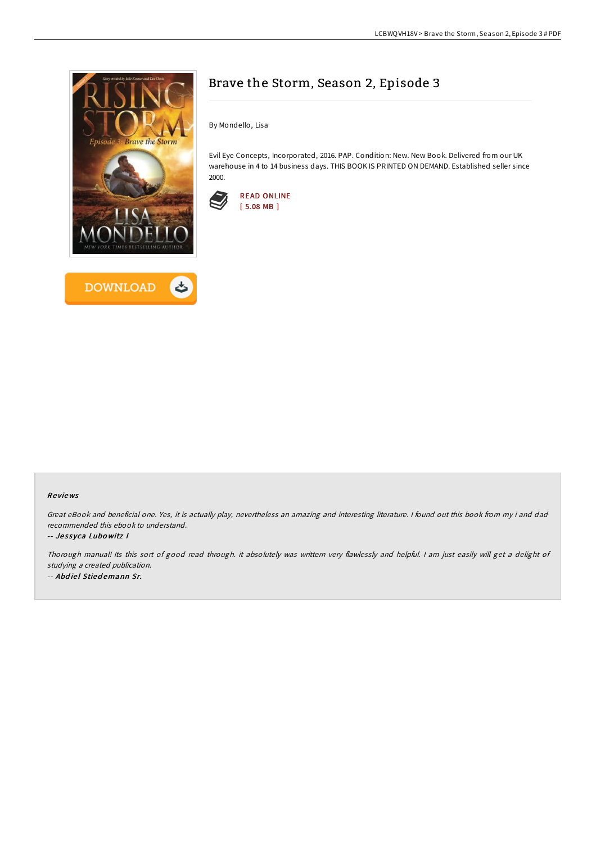



## Brave the Storm, Season 2, Episode 3

By Mondello, Lisa

Evil Eye Concepts, Incorporated, 2016. PAP. Condition: New. New Book. Delivered from our UK warehouse in 4 to 14 business days. THIS BOOK IS PRINTED ON DEMAND. Established seller since 2000.



## Re views

Great eBook and beneficial one. Yes, it is actually play, nevertheless an amazing and interesting literature. <sup>I</sup> found out this book from my i and dad recommended this ebook to understand.

## -- Jessyca Lubowitz I

Thorough manual! Its this sort of good read through. it absolutely was writtern very flawlessly and helpful. I am just easily will get a delight of studying <sup>a</sup> created publication. -- Abdiel Stiedemann Sr.